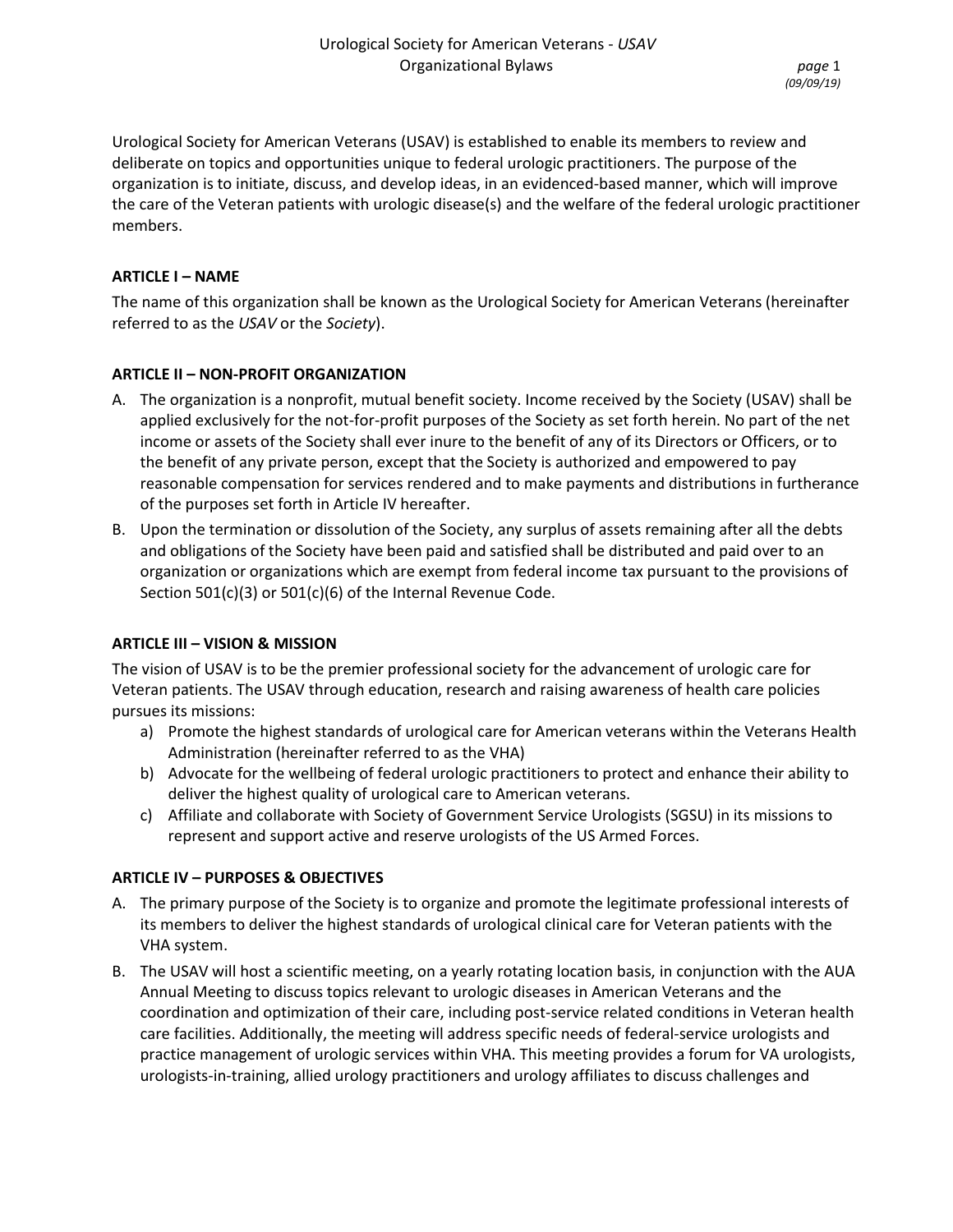Urological Society for American Veterans (USAV) is established to enable its members to review and deliberate on topics and opportunities unique to federal urologic practitioners. The purpose of the organization is to initiate, discuss, and develop ideas, in an evidenced-based manner, which will improve the care of the Veteran patients with urologic disease(s) and the welfare of the federal urologic practitioner members.

# **ARTICLE I – NAME**

The name of this organization shall be known as the Urological Society for American Veterans (hereinafter referred to as the *USAV* or the *Society*).

# **ARTICLE II – NON-PROFIT ORGANIZATION**

- A. The organization is a nonprofit, mutual benefit society. Income received by the Society (USAV) shall be applied exclusively for the not-for-profit purposes of the Society as set forth herein. No part of the net income or assets of the Society shall ever inure to the benefit of any of its Directors or Officers, or to the benefit of any private person, except that the Society is authorized and empowered to pay reasonable compensation for services rendered and to make payments and distributions in furtherance of the purposes set forth in Article IV hereafter.
- B. Upon the termination or dissolution of the Society, any surplus of assets remaining after all the debts and obligations of the Society have been paid and satisfied shall be distributed and paid over to an organization or organizations which are exempt from federal income tax pursuant to the provisions of Section 501(c)(3) or 501(c)(6) of the Internal Revenue Code.

## **ARTICLE III – VISION & MISSION**

The vision of USAV is to be the premier professional society for the advancement of urologic care for Veteran patients. The USAV through education, research and raising awareness of health care policies pursues its missions:

- a) Promote the highest standards of urological care for American veterans within the Veterans Health Administration (hereinafter referred to as the VHA)
- b) Advocate for the wellbeing of federal urologic practitioners to protect and enhance their ability to deliver the highest quality of urological care to American veterans.
- c) Affiliate and collaborate with Society of Government Service Urologists (SGSU) in its missions to represent and support active and reserve urologists of the US Armed Forces.

## **ARTICLE IV – PURPOSES & OBJECTIVES**

- A. The primary purpose of the Society is to organize and promote the legitimate professional interests of its members to deliver the highest standards of urological clinical care for Veteran patients with the VHA system.
- B. The USAV will host a scientific meeting, on a yearly rotating location basis, in conjunction with the AUA Annual Meeting to discuss topics relevant to urologic diseases in American Veterans and the coordination and optimization of their care, including post-service related conditions in Veteran health care facilities. Additionally, the meeting will address specific needs of federal-service urologists and practice management of urologic services within VHA. This meeting provides a forum for VA urologists, urologists-in-training, allied urology practitioners and urology affiliates to discuss challenges and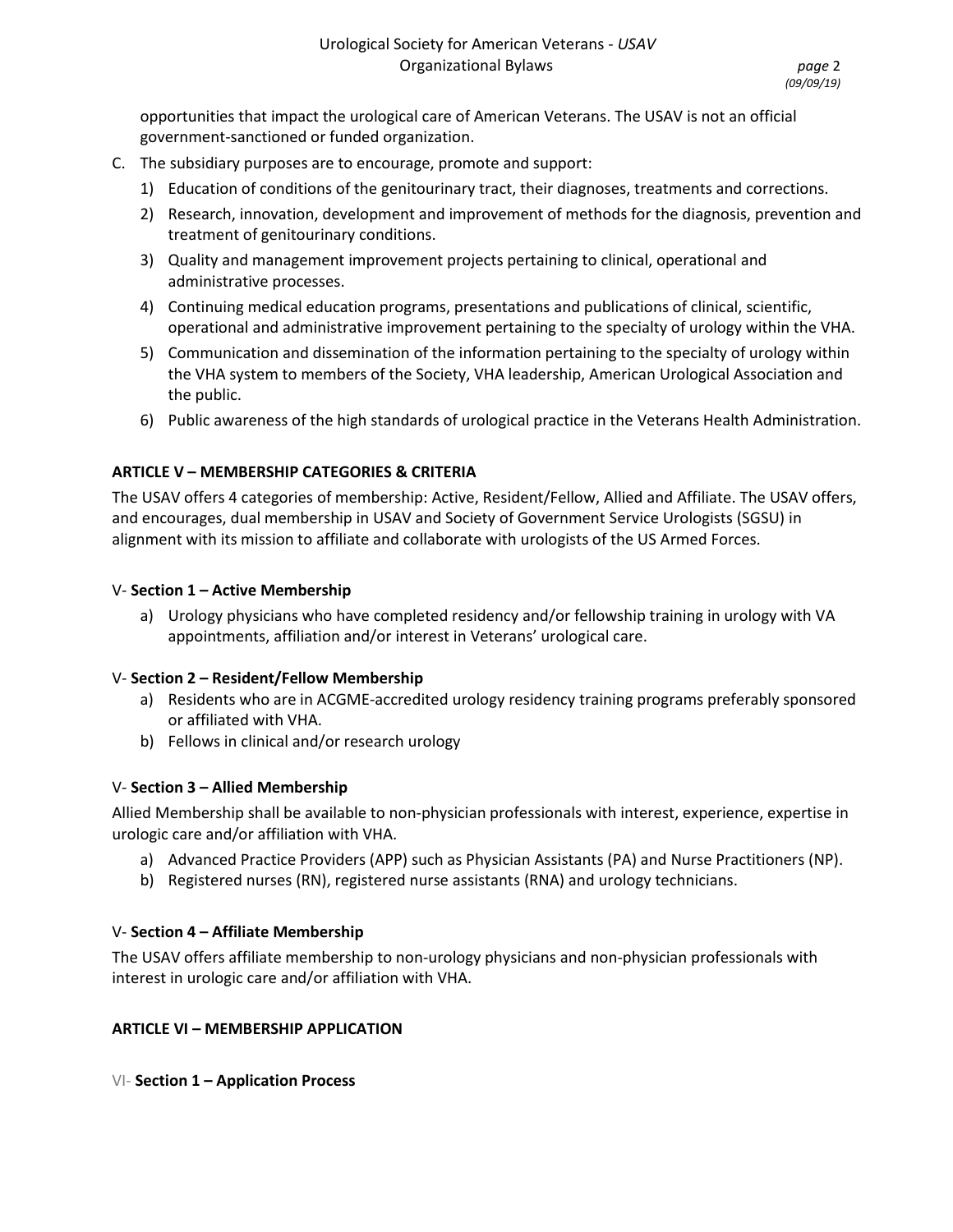opportunities that impact the urological care of American Veterans. The USAV is not an official government-sanctioned or funded organization.

- C. The subsidiary purposes are to encourage, promote and support:
	- 1) Education of conditions of the genitourinary tract, their diagnoses, treatments and corrections.
	- 2) Research, innovation, development and improvement of methods for the diagnosis, prevention and treatment of genitourinary conditions.
	- 3) Quality and management improvement projects pertaining to clinical, operational and administrative processes.
	- 4) Continuing medical education programs, presentations and publications of clinical, scientific, operational and administrative improvement pertaining to the specialty of urology within the VHA.
	- 5) Communication and dissemination of the information pertaining to the specialty of urology within the VHA system to members of the Society, VHA leadership, American Urological Association and the public.
	- 6) Public awareness of the high standards of urological practice in the Veterans Health Administration.

# **ARTICLE V – MEMBERSHIP CATEGORIES & CRITERIA**

The USAV offers 4 categories of membership: Active, Resident/Fellow, Allied and Affiliate. The USAV offers, and encourages, dual membership in USAV and Society of Government Service Urologists (SGSU) in alignment with its mission to affiliate and collaborate with urologists of the US Armed Forces.

## V- **Section 1 – Active Membership**

a) Urology physicians who have completed residency and/or fellowship training in urology with VA appointments, affiliation and/or interest in Veterans' urological care.

## V- **Section 2 – Resident/Fellow Membership**

- a) Residents who are in ACGME-accredited urology residency training programs preferably sponsored or affiliated with VHA.
- b) Fellows in clinical and/or research urology

## V- **Section 3 – Allied Membership**

Allied Membership shall be available to non-physician professionals with interest, experience, expertise in urologic care and/or affiliation with VHA.

- a) Advanced Practice Providers (APP) such as Physician Assistants (PA) and Nurse Practitioners (NP).
- b) Registered nurses (RN), registered nurse assistants (RNA) and urology technicians.

## V- **Section 4 – Affiliate Membership**

The USAV offers affiliate membership to non-urology physicians and non-physician professionals with interest in urologic care and/or affiliation with VHA.

## **ARTICLE VI – MEMBERSHIP APPLICATION**

VI- **Section 1 – Application Process**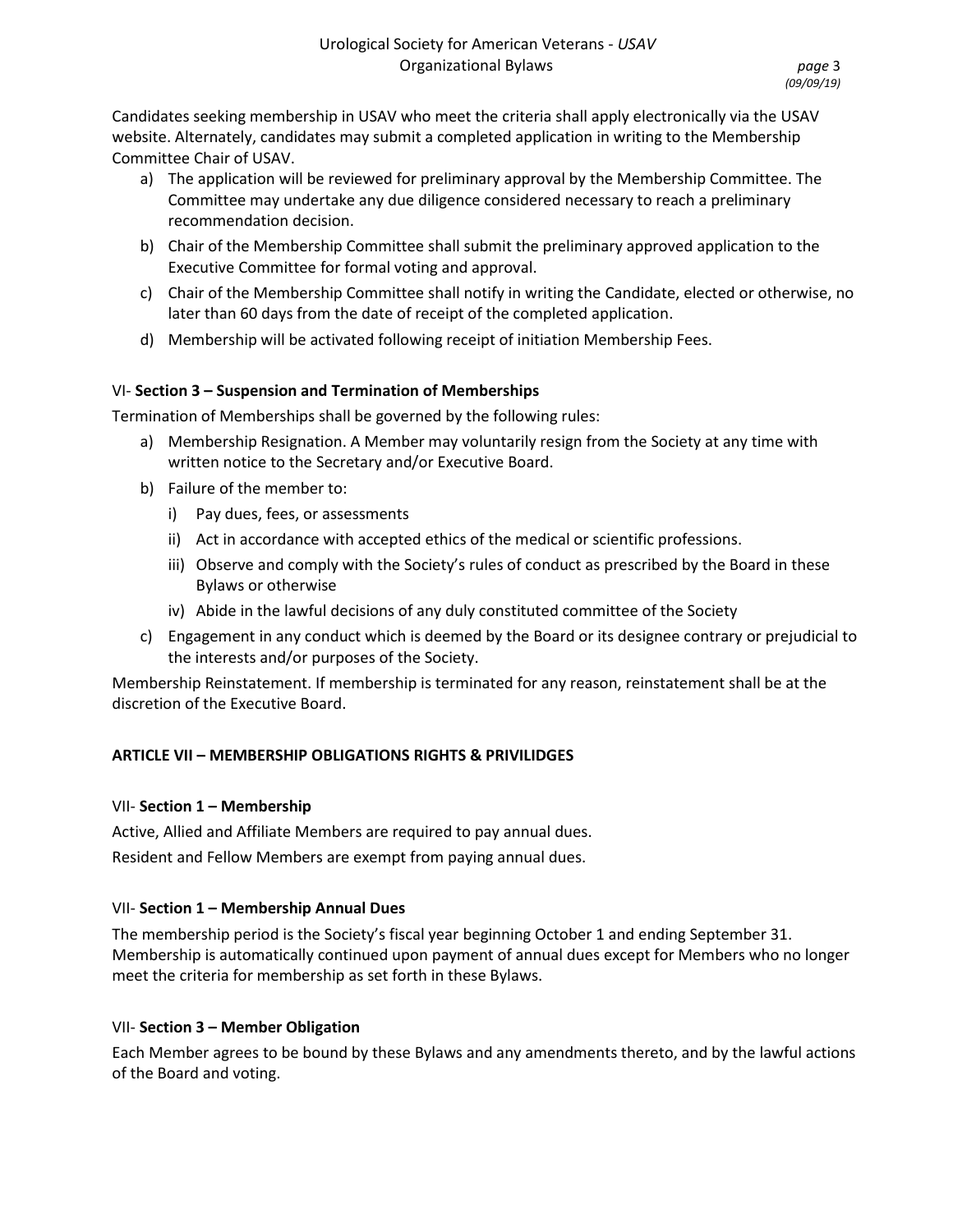Candidates seeking membership in USAV who meet the criteria shall apply electronically via the USAV website. Alternately, candidates may submit a completed application in writing to the Membership Committee Chair of USAV.

- a) The application will be reviewed for preliminary approval by the Membership Committee. The Committee may undertake any due diligence considered necessary to reach a preliminary recommendation decision.
- b) Chair of the Membership Committee shall submit the preliminary approved application to the Executive Committee for formal voting and approval.
- c) Chair of the Membership Committee shall notify in writing the Candidate, elected or otherwise, no later than 60 days from the date of receipt of the completed application.
- d) Membership will be activated following receipt of initiation Membership Fees.

# VI- **Section 3 – Suspension and Termination of Memberships**

Termination of Memberships shall be governed by the following rules:

- a) Membership Resignation. A Member may voluntarily resign from the Society at any time with written notice to the Secretary and/or Executive Board.
- b) Failure of the member to:
	- i) Pay dues, fees, or assessments
	- ii) Act in accordance with accepted ethics of the medical or scientific professions.
	- iii) Observe and comply with the Society's rules of conduct as prescribed by the Board in these Bylaws or otherwise
	- iv) Abide in the lawful decisions of any duly constituted committee of the Society
- c) Engagement in any conduct which is deemed by the Board or its designee contrary or prejudicial to the interests and/or purposes of the Society.

Membership Reinstatement. If membership is terminated for any reason, reinstatement shall be at the discretion of the Executive Board.

# **ARTICLE VII – MEMBERSHIP OBLIGATIONS RIGHTS & PRIVILIDGES**

# VII- **Section 1 – Membership**

Active, Allied and Affiliate Members are required to pay annual dues. Resident and Fellow Members are exempt from paying annual dues.

# VII- **Section 1 – Membership Annual Dues**

The membership period is the Society's fiscal year beginning October 1 and ending September 31. Membership is automatically continued upon payment of annual dues except for Members who no longer meet the criteria for membership as set forth in these Bylaws.

# VII- **Section 3 – Member Obligation**

Each Member agrees to be bound by these Bylaws and any amendments thereto, and by the lawful actions of the Board and voting.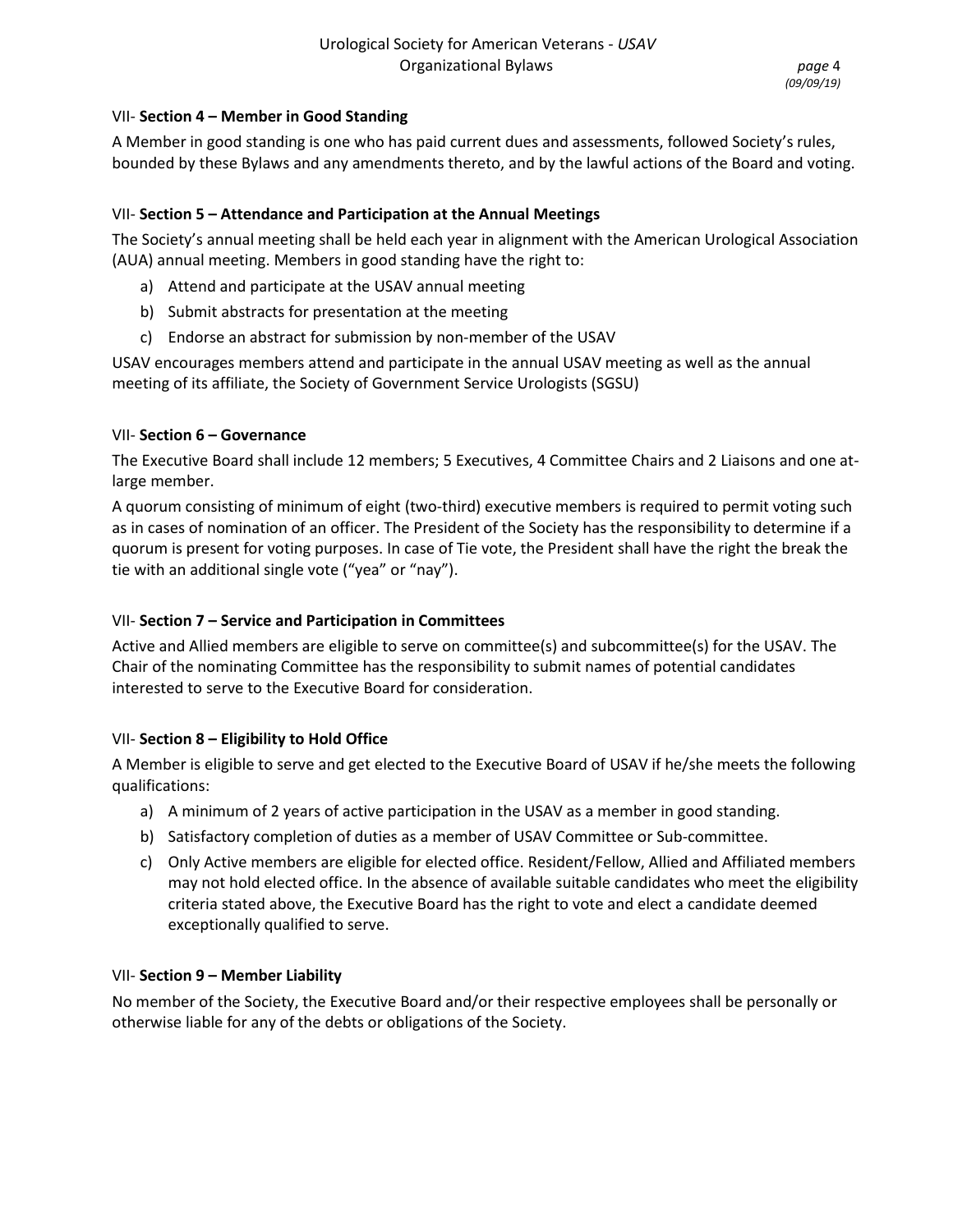## VII- **Section 4 – Member in Good Standing**

A Member in good standing is one who has paid current dues and assessments, followed Society's rules, bounded by these Bylaws and any amendments thereto, and by the lawful actions of the Board and voting.

# VII- **Section 5 – Attendance and Participation at the Annual Meetings**

The Society's annual meeting shall be held each year in alignment with the American Urological Association (AUA) annual meeting. Members in good standing have the right to:

- a) Attend and participate at the USAV annual meeting
- b) Submit abstracts for presentation at the meeting
- c) Endorse an abstract for submission by non-member of the USAV

USAV encourages members attend and participate in the annual USAV meeting as well as the annual meeting of its affiliate, the Society of Government Service Urologists (SGSU)

## VII- **Section 6 – Governance**

The Executive Board shall include 12 members; 5 Executives, 4 Committee Chairs and 2 Liaisons and one atlarge member.

A quorum consisting of minimum of eight (two-third) executive members is required to permit voting such as in cases of nomination of an officer. The President of the Society has the responsibility to determine if a quorum is present for voting purposes. In case of Tie vote, the President shall have the right the break the tie with an additional single vote ("yea" or "nay").

## VII- **Section 7 – Service and Participation in Committees**

Active and Allied members are eligible to serve on committee(s) and subcommittee(s) for the USAV. The Chair of the nominating Committee has the responsibility to submit names of potential candidates interested to serve to the Executive Board for consideration.

## VII- **Section 8 – Eligibility to Hold Office**

A Member is eligible to serve and get elected to the Executive Board of USAV if he/she meets the following qualifications:

- a) A minimum of 2 years of active participation in the USAV as a member in good standing.
- b) Satisfactory completion of duties as a member of USAV Committee or Sub-committee.
- c) Only Active members are eligible for elected office. Resident/Fellow, Allied and Affiliated members may not hold elected office. In the absence of available suitable candidates who meet the eligibility criteria stated above, the Executive Board has the right to vote and elect a candidate deemed exceptionally qualified to serve.

## VII- **Section 9 – Member Liability**

No member of the Society, the Executive Board and/or their respective employees shall be personally or otherwise liable for any of the debts or obligations of the Society.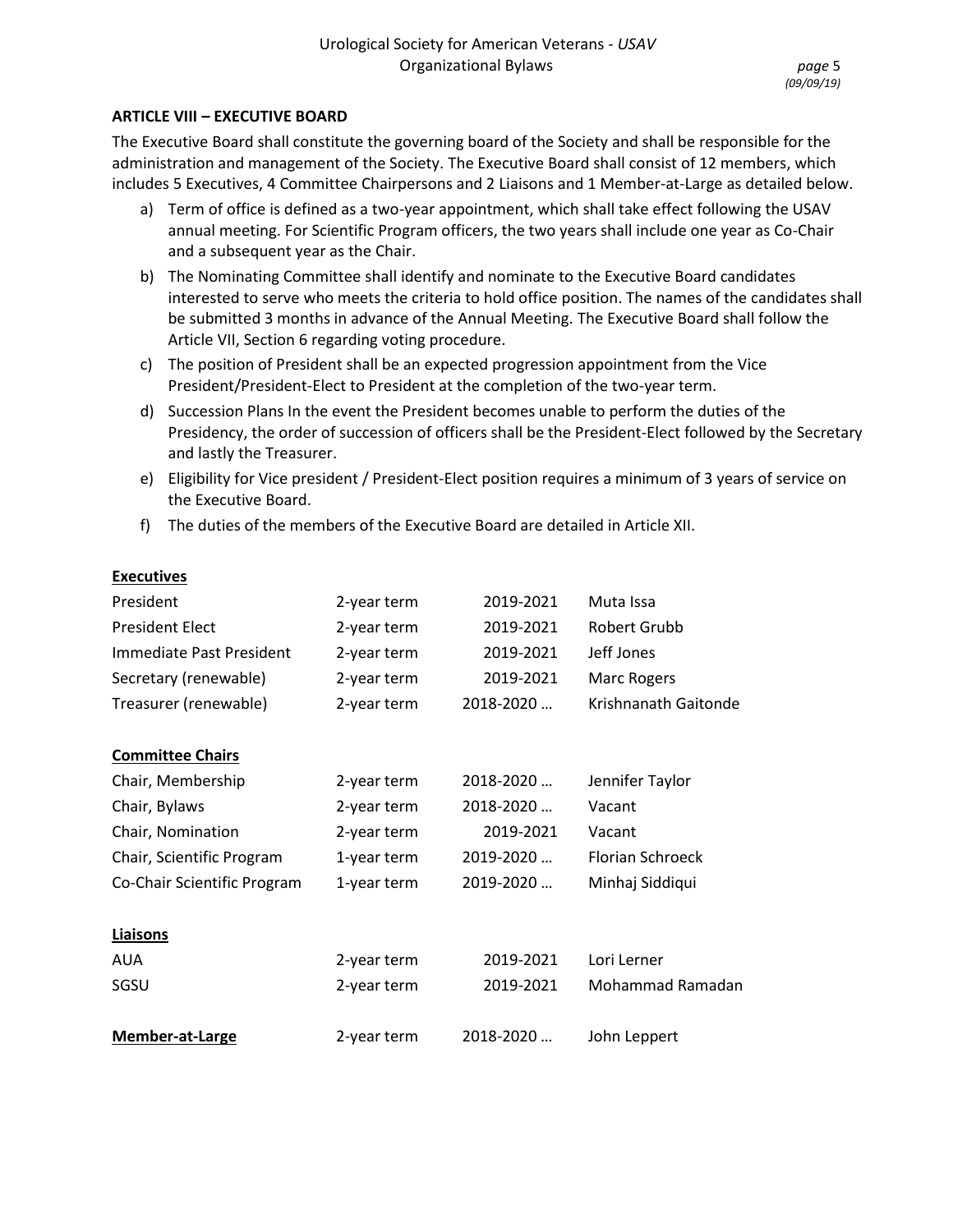#### **ARTICLE VIII – EXECUTIVE BOARD**

The Executive Board shall constitute the governing board of the Society and shall be responsible for the administration and management of the Society. The Executive Board shall consist of 12 members, which includes 5 Executives, 4 Committee Chairpersons and 2 Liaisons and 1 Member-at-Large as detailed below.

- a) Term of office is defined as a two-year appointment, which shall take effect following the USAV annual meeting. For Scientific Program officers, the two years shall include one year as Co-Chair and a subsequent year as the Chair.
- b) The Nominating Committee shall identify and nominate to the Executive Board candidates interested to serve who meets the criteria to hold office position. The names of the candidates shall be submitted 3 months in advance of the Annual Meeting. The Executive Board shall follow the Article VII, Section 6 regarding voting procedure.
- c) The position of President shall be an expected progression appointment from the Vice President/President-Elect to President at the completion of the two-year term.
- d) Succession Plans In the event the President becomes unable to perform the duties of the Presidency, the order of succession of officers shall be the President-Elect followed by the Secretary and lastly the Treasurer.
- e) Eligibility for Vice president / President-Elect position requires a minimum of 3 years of service on the Executive Board.
- f) The duties of the members of the Executive Board are detailed in Article XII.

#### **Executives**

| President                   | 2-year term | 2019-2021 | Muta Issa               |
|-----------------------------|-------------|-----------|-------------------------|
| <b>President Elect</b>      | 2-year term | 2019-2021 | Robert Grubb            |
| Immediate Past President    | 2-year term | 2019-2021 | Jeff Jones              |
| Secretary (renewable)       | 2-year term | 2019-2021 | Marc Rogers             |
| Treasurer (renewable)       | 2-year term | 2018-2020 | Krishnanath Gaitonde    |
| <b>Committee Chairs</b>     |             |           |                         |
| Chair, Membership           | 2-year term | 2018-2020 | Jennifer Taylor         |
| Chair, Bylaws               | 2-year term | 2018-2020 | Vacant                  |
| Chair, Nomination           | 2-year term | 2019-2021 | Vacant                  |
| Chair, Scientific Program   | 1-year term | 2019-2020 | <b>Florian Schroeck</b> |
| Co-Chair Scientific Program | 1-year term | 2019-2020 | Minhaj Siddiqui         |
| Liaisons                    |             |           |                         |
| <b>AUA</b>                  | 2-year term | 2019-2021 | Lori Lerner             |
| SGSU                        | 2-year term | 2019-2021 | Mohammad Ramadan        |
| <b>Member-at-Large</b>      | 2-year term | 2018-2020 | John Leppert            |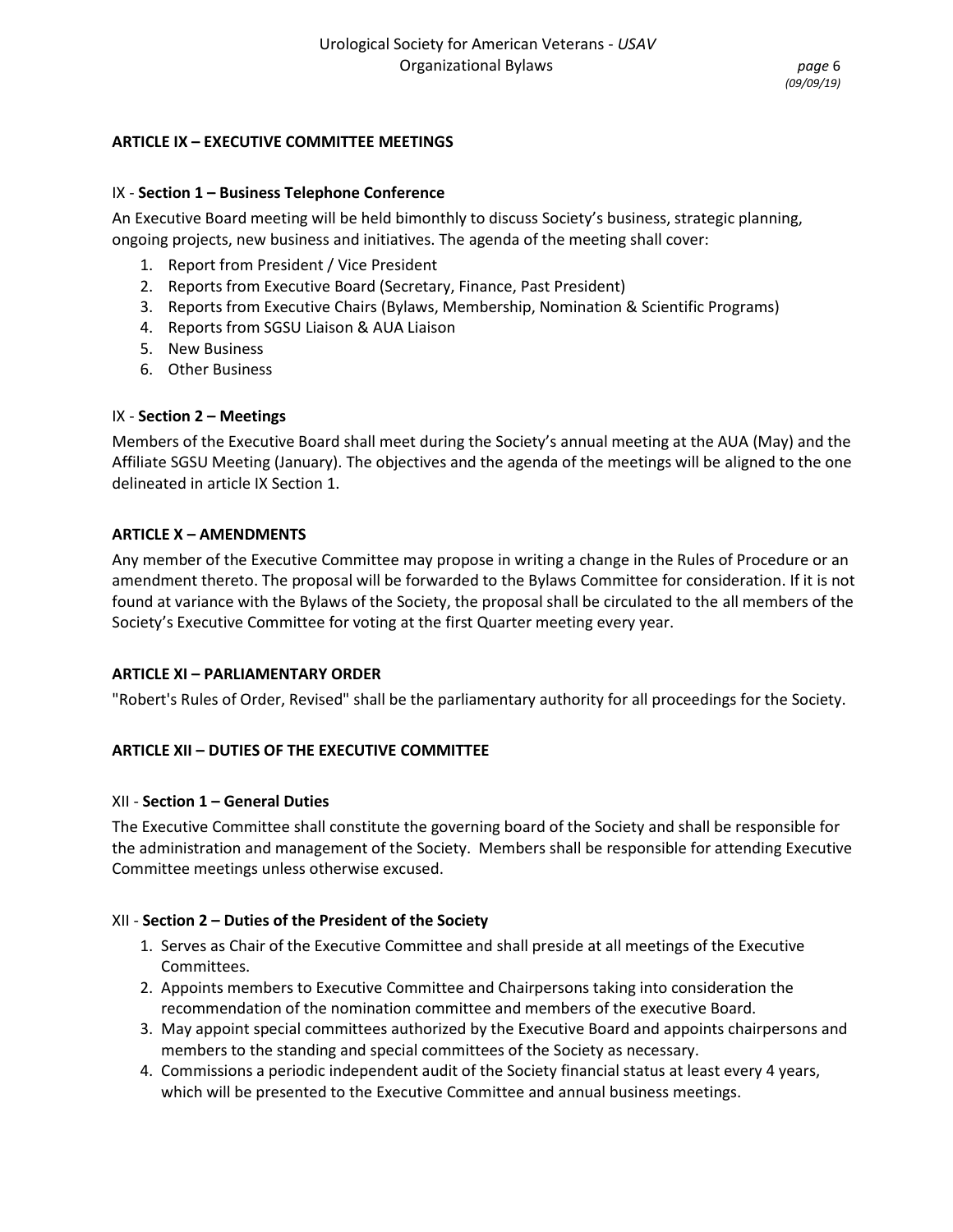## **ARTICLE IX – EXECUTIVE COMMITTEE MEETINGS**

#### IX - **Section 1 – Business Telephone Conference**

An Executive Board meeting will be held bimonthly to discuss Society's business, strategic planning, ongoing projects, new business and initiatives. The agenda of the meeting shall cover:

- 1. Report from President / Vice President
- 2. Reports from Executive Board (Secretary, Finance, Past President)
- 3. Reports from Executive Chairs (Bylaws, Membership, Nomination & Scientific Programs)
- 4. Reports from SGSU Liaison & AUA Liaison
- 5. New Business
- 6. Other Business

## IX - **Section 2 – Meetings**

Members of the Executive Board shall meet during the Society's annual meeting at the AUA (May) and the Affiliate SGSU Meeting (January). The objectives and the agenda of the meetings will be aligned to the one delineated in article IX Section 1.

#### **ARTICLE X – AMENDMENTS**

Any member of the Executive Committee may propose in writing a change in the Rules of Procedure or an amendment thereto. The proposal will be forwarded to the Bylaws Committee for consideration. If it is not found at variance with the Bylaws of the Society, the proposal shall be circulated to the all members of the Society's Executive Committee for voting at the first Quarter meeting every year.

#### **ARTICLE XI – PARLIAMENTARY ORDER**

"Robert's Rules of Order, Revised" shall be the parliamentary authority for all proceedings for the Society.

## **ARTICLE XII – DUTIES OF THE EXECUTIVE COMMITTEE**

#### XII - **Section 1 – General Duties**

The Executive Committee shall constitute the governing board of the Society and shall be responsible for the administration and management of the Society. Members shall be responsible for attending Executive Committee meetings unless otherwise excused.

## XII - **Section 2 – Duties of the President of the Society**

- 1. Serves as Chair of the Executive Committee and shall preside at all meetings of the Executive Committees.
- 2. Appoints members to Executive Committee and Chairpersons taking into consideration the recommendation of the nomination committee and members of the executive Board.
- 3. May appoint special committees authorized by the Executive Board and appoints chairpersons and members to the standing and special committees of the Society as necessary.
- 4. Commissions a periodic independent audit of the Society financial status at least every 4 years, which will be presented to the Executive Committee and annual business meetings.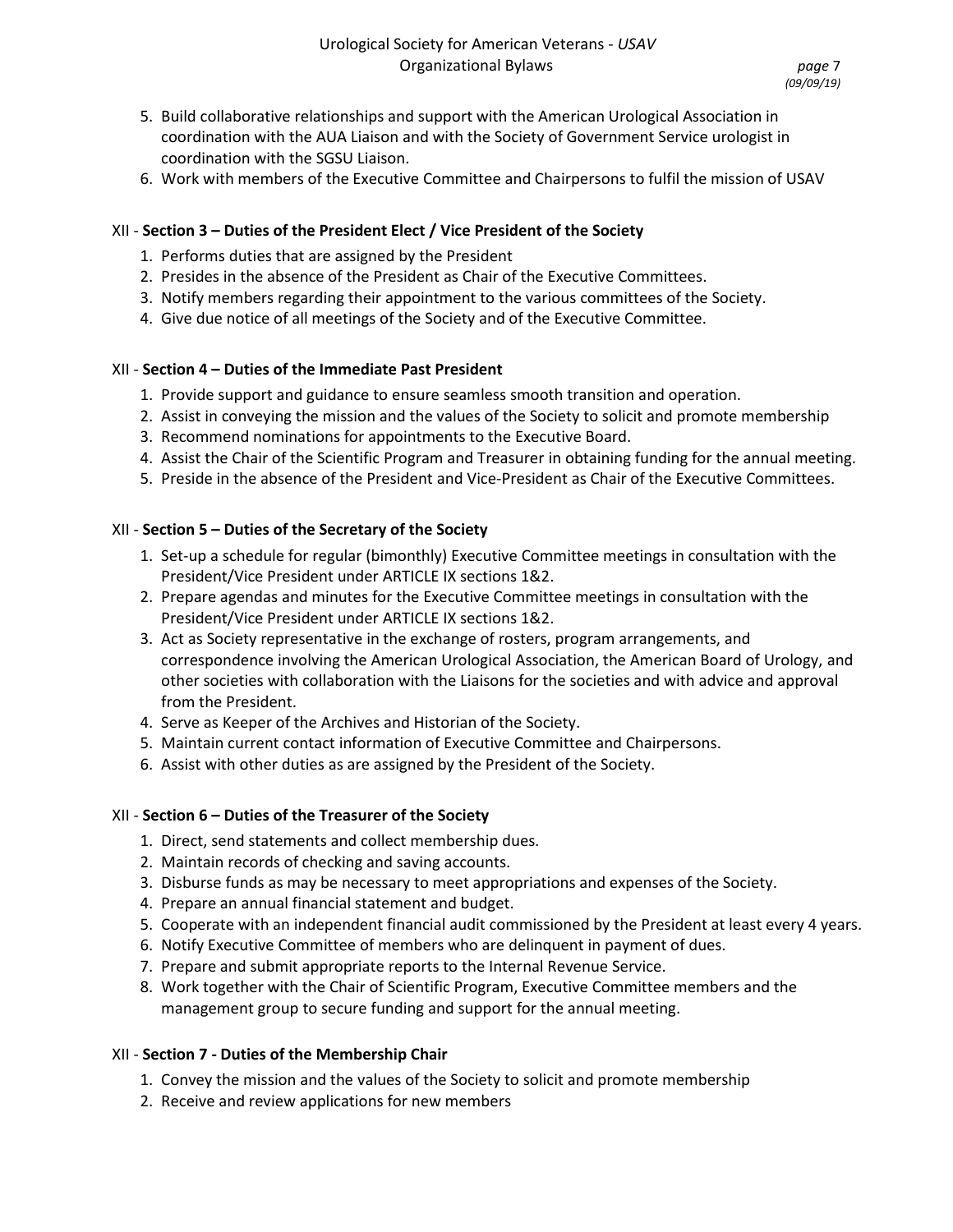- 5. Build collaborative relationships and support with the American Urological Association in coordination with the AUA Liaison and with the Society of Government Service urologist in coordination with the SGSU Liaison.
- 6. Work with members of the Executive Committee and Chairpersons to fulfil the mission of USAV

## XII - **Section 3 – Duties of the President Elect / Vice President of the Society**

- 1. Performs duties that are assigned by the President
- 2. Presides in the absence of the President as Chair of the Executive Committees.
- 3. Notify members regarding their appointment to the various committees of the Society.
- 4. Give due notice of all meetings of the Society and of the Executive Committee.

# XII - **Section 4 – Duties of the Immediate Past President**

- 1. Provide support and guidance to ensure seamless smooth transition and operation.
- 2. Assist in conveying the mission and the values of the Society to solicit and promote membership
- 3. Recommend nominations for appointments to the Executive Board.
- 4. Assist the Chair of the Scientific Program and Treasurer in obtaining funding for the annual meeting.
- 5. Preside in the absence of the President and Vice-President as Chair of the Executive Committees.

# XII - **Section 5 – Duties of the Secretary of the Society**

- 1. Set-up a schedule for regular (bimonthly) Executive Committee meetings in consultation with the President/Vice President under ARTICLE IX sections 1&2.
- 2. Prepare agendas and minutes for the Executive Committee meetings in consultation with the President/Vice President under ARTICLE IX sections 1&2.
- 3. Act as Society representative in the exchange of rosters, program arrangements, and correspondence involving the American Urological Association, the American Board of Urology, and other societies with collaboration with the Liaisons for the societies and with advice and approval from the President.
- 4. Serve as Keeper of the Archives and Historian of the Society.
- 5. Maintain current contact information of Executive Committee and Chairpersons.
- 6. Assist with other duties as are assigned by the President of the Society.

## XII - **Section 6 – Duties of the Treasurer of the Society**

- 1. Direct, send statements and collect membership dues.
- 2. Maintain records of checking and saving accounts.
- 3. Disburse funds as may be necessary to meet appropriations and expenses of the Society.
- 4. Prepare an annual financial statement and budget.
- 5. Cooperate with an independent financial audit commissioned by the President at least every 4 years.
- 6. Notify Executive Committee of members who are delinquent in payment of dues.
- 7. Prepare and submit appropriate reports to the Internal Revenue Service.
- 8. Work together with the Chair of Scientific Program, Executive Committee members and the management group to secure funding and support for the annual meeting.

## XII - **Section 7 - Duties of the Membership Chair**

- 1. Convey the mission and the values of the Society to solicit and promote membership
- 2. Receive and review applications for new members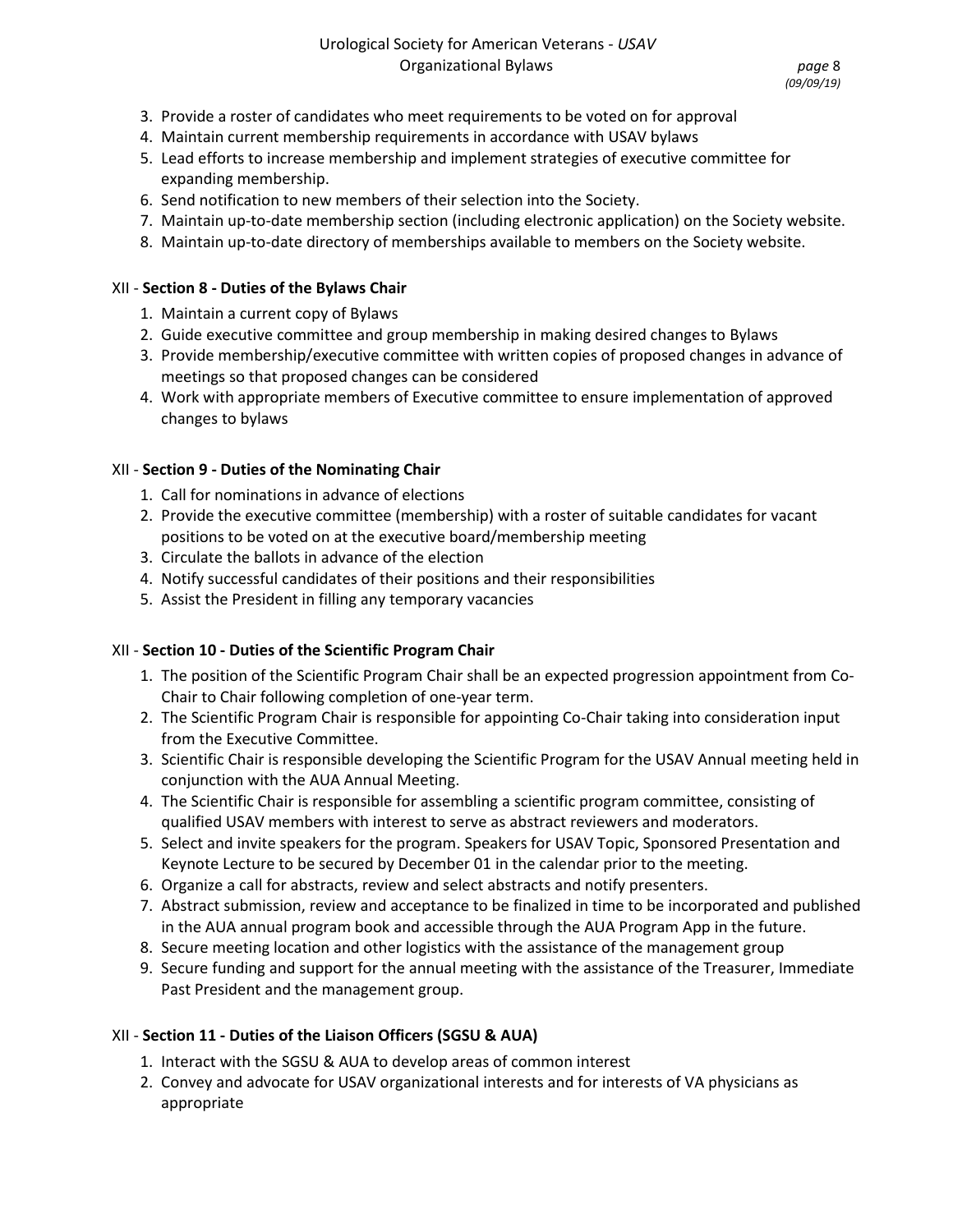- 3. Provide a roster of candidates who meet requirements to be voted on for approval
- 4. Maintain current membership requirements in accordance with USAV bylaws
- 5. Lead efforts to increase membership and implement strategies of executive committee for expanding membership.
- 6. Send notification to new members of their selection into the Society.
- 7. Maintain up-to-date membership section (including electronic application) on the Society website.
- 8. Maintain up-to-date directory of memberships available to members on the Society website.

#### XII - **Section 8 - Duties of the Bylaws Chair**

- 1. Maintain a current copy of Bylaws
- 2. Guide executive committee and group membership in making desired changes to Bylaws
- 3. Provide membership/executive committee with written copies of proposed changes in advance of meetings so that proposed changes can be considered
- 4. Work with appropriate members of Executive committee to ensure implementation of approved changes to bylaws

## XII - **Section 9 - Duties of the Nominating Chair**

- 1. Call for nominations in advance of elections
- 2. Provide the executive committee (membership) with a roster of suitable candidates for vacant positions to be voted on at the executive board/membership meeting
- 3. Circulate the ballots in advance of the election
- 4. Notify successful candidates of their positions and their responsibilities
- 5. Assist the President in filling any temporary vacancies

## XII - **Section 10 - Duties of the Scientific Program Chair**

- 1. The position of the Scientific Program Chair shall be an expected progression appointment from Co-Chair to Chair following completion of one-year term.
- 2. The Scientific Program Chair is responsible for appointing Co-Chair taking into consideration input from the Executive Committee.
- 3. Scientific Chair is responsible developing the Scientific Program for the USAV Annual meeting held in conjunction with the AUA Annual Meeting.
- 4. The Scientific Chair is responsible for assembling a scientific program committee, consisting of qualified USAV members with interest to serve as abstract reviewers and moderators.
- 5. Select and invite speakers for the program. Speakers for USAV Topic, Sponsored Presentation and Keynote Lecture to be secured by December 01 in the calendar prior to the meeting.
- 6. Organize a call for abstracts, review and select abstracts and notify presenters.
- 7. Abstract submission, review and acceptance to be finalized in time to be incorporated and published in the AUA annual program book and accessible through the AUA Program App in the future.
- 8. Secure meeting location and other logistics with the assistance of the management group
- 9. Secure funding and support for the annual meeting with the assistance of the Treasurer, Immediate Past President and the management group.

## XII - **Section 11 - Duties of the Liaison Officers (SGSU & AUA)**

- 1. Interact with the SGSU & AUA to develop areas of common interest
- 2. Convey and advocate for USAV organizational interests and for interests of VA physicians as appropriate